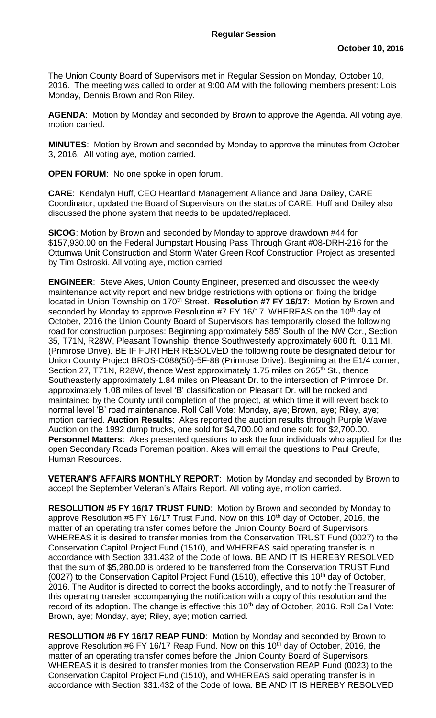The Union County Board of Supervisors met in Regular Session on Monday, October 10, 2016. The meeting was called to order at 9:00 AM with the following members present: Lois Monday, Dennis Brown and Ron Riley.

**AGENDA**: Motion by Monday and seconded by Brown to approve the Agenda. All voting aye, motion carried.

**MINUTES**: Motion by Brown and seconded by Monday to approve the minutes from October 3, 2016. All voting aye, motion carried.

**OPEN FORUM**: No one spoke in open forum.

**CARE**: Kendalyn Huff, CEO Heartland Management Alliance and Jana Dailey, CARE Coordinator, updated the Board of Supervisors on the status of CARE. Huff and Dailey also discussed the phone system that needs to be updated/replaced.

**SICOG**: Motion by Brown and seconded by Monday to approve drawdown #44 for \$157,930.00 on the Federal Jumpstart Housing Pass Through Grant #08-DRH-216 for the Ottumwa Unit Construction and Storm Water Green Roof Construction Project as presented by Tim Ostroski. All voting aye, motion carried

**ENGINEER**: Steve Akes, Union County Engineer, presented and discussed the weekly maintenance activity report and new bridge restrictions with options on fixing the bridge located in Union Township on 170<sup>th</sup> Street. **Resolution #7 FY 16/17**: Motion by Brown and seconded by Monday to approve Resolution #7 FY 16/17. WHEREAS on the 10<sup>th</sup> day of October, 2016 the Union County Board of Supervisors has temporarily closed the following road for construction purposes: Beginning approximately 585' South of the NW Cor., Section 35, T71N, R28W, Pleasant Township, thence Southwesterly approximately 600 ft., 0.11 MI. (Primrose Drive). BE IF FURTHER RESOLVED the following route be designated detour for Union County Project BROS-C088(50)-5F-88 (Primrose Drive). Beginning at the E1/4 corner, Section 27, T71N, R28W, thence West approximately 1.75 miles on  $265<sup>th</sup>$  St., thence Southeasterly approximately 1.84 miles on Pleasant Dr. to the intersection of Primrose Dr. approximately 1.08 miles of level 'B' classification on Pleasant Dr. will be rocked and maintained by the County until completion of the project, at which time it will revert back to normal level 'B' road maintenance. Roll Call Vote: Monday, aye; Brown, aye; Riley, aye; motion carried. **Auction Results**: Akes reported the auction results through Purple Wave Auction on the 1992 dump trucks, one sold for \$4,700.00 and one sold for \$2,700.00. **Personnel Matters**: Akes presented questions to ask the four individuals who applied for the open Secondary Roads Foreman position. Akes will email the questions to Paul Greufe, Human Resources.

**VETERAN'S AFFAIRS MONTHLY REPORT**: Motion by Monday and seconded by Brown to accept the September Veteran's Affairs Report. All voting aye, motion carried.

**RESOLUTION #5 FY 16/17 TRUST FUND**: Motion by Brown and seconded by Monday to approve Resolution #5 FY 16/17 Trust Fund. Now on this 10<sup>th</sup> day of October, 2016, the matter of an operating transfer comes before the Union County Board of Supervisors. WHEREAS it is desired to transfer monies from the Conservation TRUST Fund (0027) to the Conservation Capitol Project Fund (1510), and WHEREAS said operating transfer is in accordance with Section 331.432 of the Code of Iowa. BE AND IT IS HEREBY RESOLVED that the sum of \$5,280.00 is ordered to be transferred from the Conservation TRUST Fund (0027) to the Conservation Capitol Project Fund (1510), effective this 10<sup>th</sup> day of October, 2016. The Auditor is directed to correct the books accordingly, and to notify the Treasurer of this operating transfer accompanying the notification with a copy of this resolution and the record of its adoption. The change is effective this 10<sup>th</sup> day of October, 2016. Roll Call Vote: Brown, aye; Monday, aye; Riley, aye; motion carried.

**RESOLUTION #6 FY 16/17 REAP FUND**: Motion by Monday and seconded by Brown to approve Resolution #6 FY 16/17 Reap Fund. Now on this 10<sup>th</sup> day of October, 2016, the matter of an operating transfer comes before the Union County Board of Supervisors. WHEREAS it is desired to transfer monies from the Conservation REAP Fund (0023) to the Conservation Capitol Project Fund (1510), and WHEREAS said operating transfer is in accordance with Section 331.432 of the Code of Iowa. BE AND IT IS HEREBY RESOLVED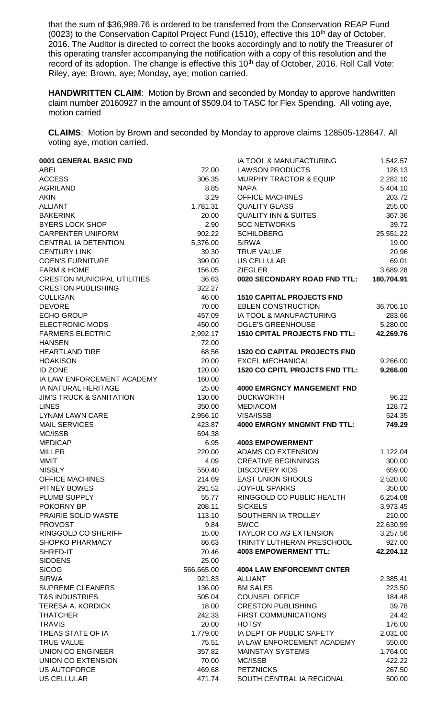that the sum of \$36,989.76 is ordered to be transferred from the Conservation REAP Fund (0023) to the Conservation Capitol Project Fund (1510), effective this 10<sup>th</sup> day of October, 2016. The Auditor is directed to correct the books accordingly and to notify the Treasurer of this operating transfer accompanying the notification with a copy of this resolution and the record of its adoption. The change is effective this 10<sup>th</sup> day of October, 2016. Roll Call Vote: Riley, aye; Brown, aye; Monday, aye; motion carried.

**HANDWRITTEN CLAIM**: Motion by Brown and seconded by Monday to approve handwritten claim number 20160927 in the amount of \$509.04 to TASC for Flex Spending. All voting aye, motion carried

**CLAIMS**: Motion by Brown and seconded by Monday to approve claims 128505-128647. All voting aye, motion carried.

| 0001 GENERAL BASIC FND                    |                  | IA TOOL & MANUFACTURING                       | 1,542.57         |
|-------------------------------------------|------------------|-----------------------------------------------|------------------|
| <b>ABEL</b>                               | 72.00            | <b>LAWSON PRODUCTS</b>                        | 128.13           |
| <b>ACCESS</b>                             | 306.35           | <b>MURPHY TRACTOR &amp; EQUIP</b>             | 2,282.10         |
| <b>AGRILAND</b>                           | 8.85             | <b>NAPA</b>                                   | 5,404.10         |
| <b>AKIN</b>                               | 3.29             | <b>OFFICE MACHINES</b>                        | 203.72           |
| <b>ALLIANT</b>                            | 1,781.31         | <b>QUALITY GLASS</b>                          | 255.00           |
| <b>BAKERINK</b>                           | 20.00            | <b>QUALITY INN &amp; SUITES</b>               | 367.36           |
| <b>BYERS LOCK SHOP</b>                    | 2.90             | <b>SCC NETWORKS</b>                           | 39.72            |
| <b>CARPENTER UNIFORM</b>                  | 902.22           | <b>SCHILDBERG</b>                             | 25,551.22        |
| CENTRAL IA DETENTION                      | 5,376.00         | <b>SIRWA</b>                                  | 19.00            |
| <b>CENTURY LINK</b>                       | 39.30            | <b>TRUE VALUE</b>                             | 20.96            |
| <b>COEN'S FURNITURE</b>                   | 390.00           | <b>US CELLULAR</b>                            | 69.01            |
| <b>FARM &amp; HOME</b>                    | 156.05           | <b>ZIEGLER</b>                                | 3,689.28         |
| <b>CRESTON MUNICIPAL UTILITIES</b>        | 36.63            | 0020 SECONDARY ROAD FND TTL:                  | 180,704.91       |
| <b>CRESTON PUBLISHING</b>                 | 322.27           |                                               |                  |
| <b>CULLIGAN</b>                           | 46.00            | <b>1510 CAPITAL PROJECTS FND</b>              |                  |
| <b>DEVORE</b>                             | 70.00            | <b>EBLEN CONSTRUCTION</b>                     | 36,706.10        |
| <b>ECHO GROUP</b>                         | 457.09           | IA TOOL & MANUFACTURING                       | 283.66           |
| <b>ELECTRONIC MODS</b>                    | 450.00           | <b>OGLE'S GREENHOUSE</b>                      | 5,280.00         |
| <b>FARMERS ELECTRIC</b>                   | 2,992.17         | <b>1510 CPITAL PROJECTS FND TTL:</b>          | 42,269.76        |
| <b>HANSEN</b>                             | 72.00            |                                               |                  |
| <b>HEARTLAND TIRE</b>                     | 68.56            | <b>1520 CO CAPITAL PROJECTS FND</b>           |                  |
| <b>HOAKISON</b>                           | 20.00            | <b>EXCEL MECHANICAL</b>                       | 9,266.00         |
| <b>ID ZONE</b>                            | 120.00           | <b>1520 CO CPITL PROJCTS FND TTL:</b>         | 9,266.00         |
| IA LAW ENFORCEMENT ACADEMY                | 160.00           |                                               |                  |
| IA NATURAL HERITAGE                       | 25.00            | <b>4000 EMRGNCY MANGEMENT FND</b>             |                  |
| <b>JIM'S TRUCK &amp; SANITATION</b>       | 130.00           | <b>DUCKWORTH</b>                              | 96.22            |
| <b>LINES</b>                              | 350.00           | <b>MEDIACOM</b>                               | 128.72           |
| <b>LYNAM LAWN CARE</b>                    | 2,956.10         | VISA/ISSB                                     | 524.35           |
|                                           |                  |                                               |                  |
| <b>MAIL SERVICES</b>                      | 423.87           | <b>4000 EMRGNY MNGMNT FND TTL:</b>            | 749.29           |
| MC/ISSB                                   | 694.38           |                                               |                  |
| <b>MEDICAP</b>                            | 6.95             | <b>4003 EMPOWERMENT</b>                       |                  |
| <b>MILLER</b>                             | 220.00           | ADAMS CO EXTENSION                            | 1,122.04         |
| <b>MMIT</b>                               | 4.09             | <b>CREATIVE BEGINNINGS</b>                    | 300.00           |
| <b>NISSLY</b>                             | 550.40           | <b>DISCOVERY KIDS</b>                         | 659.00           |
| <b>OFFICE MACHINES</b>                    | 214.69           | <b>EAST UNION SHOOLS</b>                      | 2,520.00         |
| <b>PITNEY BOWES</b>                       | 291.52           | <b>JOYFUL SPARKS</b>                          | 350.00           |
| PLUMB SUPPLY                              | 55.77            | RINGGOLD CO PUBLIC HEALTH                     | 6,254.08         |
| POKORNY BP                                | 208.11           | <b>SICKELS</b>                                | 3,973.45         |
| PRAIRIE SOLID WASTE                       | 113.10           | SOUTHERN IA TROLLEY                           | 210.00           |
| <b>PROVOST</b>                            | 9.84             | <b>SWCC</b>                                   | 22,630.99        |
| RINGGOLD CO SHERIFF                       | 15.00            | <b>TAYLOR CO AG EXTENSION</b>                 | 3,257.56         |
| <b>SHOPKO PHARMACY</b>                    | 86.63            | TRINITY LUTHERAN PRESCHOOL                    | 927.00           |
| SHRED-IT                                  | 70.46            | <b>4003 EMPOWERMENT TTL:</b>                  | 42,204.12        |
| <b>SIDDENS</b>                            | 25.00            |                                               |                  |
| <b>SICOG</b>                              | 566,665.00       | <b>4004 LAW ENFORCEMNT CNTER</b>              |                  |
| <b>SIRWA</b>                              | 921.83           | <b>ALLIANT</b>                                | 2,385.41         |
| <b>SUPREME CLEANERS</b>                   | 136.00           | <b>BM SALES</b>                               | 223.50           |
| <b>T&amp;S INDUSTRIES</b>                 | 505.04           | <b>COUNSEL OFFICE</b>                         | 184.48           |
| <b>TERESA A. KORDICK</b>                  | 18.00            | <b>CRESTON PUBLISHING</b>                     | 39.78            |
| <b>THATCHER</b>                           | 242.33           | <b>FIRST COMMUNICATIONS</b>                   | 24.42            |
| <b>TRAVIS</b>                             | 20.00            | <b>HOTSY</b>                                  | 176.00           |
| TREAS STATE OF IA                         | 1,779.00         | IA DEPT OF PUBLIC SAFETY                      | 2,031.00         |
| TRUE VALUE                                | 75.51            | IA LAW ENFORCEMENT ACADEMY                    | 550.00           |
| <b>UNION CO ENGINEER</b>                  | 357.82           | <b>MAINSTAY SYSTEMS</b>                       | 1,764.00         |
| UNION CO EXTENSION                        | 70.00            | MC/ISSB                                       | 422.22           |
| <b>US AUTOFORCE</b><br><b>US CELLULAR</b> | 469.68<br>471.74 | <b>PETZNICKS</b><br>SOUTH CENTRAL IA REGIONAL | 267.50<br>500.00 |